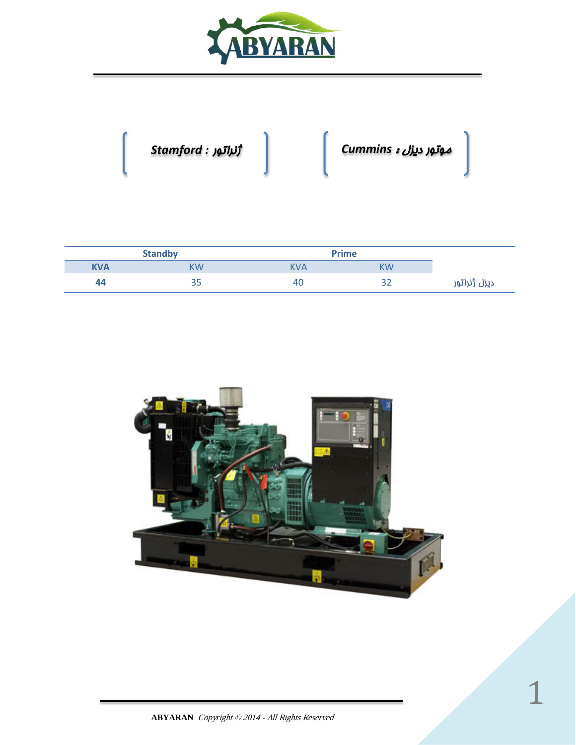

موتور ديزل : *Cummins* ژنراتور *: Stamford*

| <b>Standby</b> |     | <b>Prime</b> |           |              |
|----------------|-----|--------------|-----------|--------------|
| <b>KVA</b>     | KW  | <b>KVA</b>   | <b>KW</b> |              |
| 44             | ں ں | 40           | ے ب       | دیزل ژنراتور |

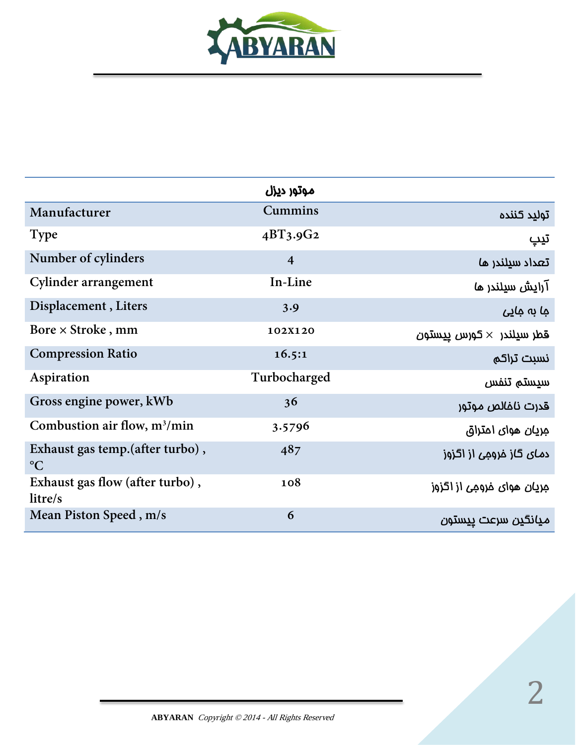

|                                                     | موتور ديزل     |                                   |
|-----------------------------------------------------|----------------|-----------------------------------|
| Manufacturer                                        | <b>Cummins</b> | توليد كننده                       |
| <b>Type</b>                                         | $4BT_3.9G_2$   | تيپ                               |
| Number of cylinders                                 | $\overline{4}$ | تعداد سيلندر ما                   |
| Cylinder arrangement                                | In-Line        | آرایش سیلندر ما                   |
| Displacement, Liters                                | 3.9            |                                   |
| Bore $\times$ Stroke, mm                            | 102X120        | قطر سيلندر $\times$ كورس ييستون   |
| <b>Compression Ratio</b>                            | 16.5:1         | نسبت تراكم                        |
| Aspiration                                          | Turbocharged   | سيستم تنفس                        |
| Gross engine power, kWb                             | 36             | قدرت ناغالص موتور                 |
| Combustion air flow, $m^3/m$ in                     | 3.5796         | جريان هواي امتراق                 |
| Exhaust gas temp. (after turbo),<br>$\rm ^{\circ}C$ | 487            | د <i>مـای</i> گاز فرومِی از اگزوز |
| Exhaust gas flow (after turbo),<br>litre/s          | 108            | مِریان هوای فرومِی از اگزوز       |
| Mean Piston Speed, m/s                              | 6              | ميانگين سرعت ييستون               |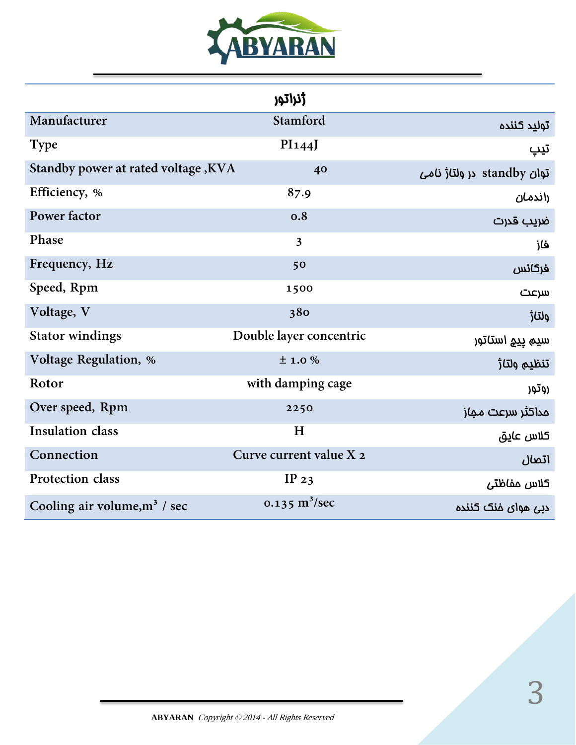

|                                            | <b>ڑنراتور</b>          |                            |
|--------------------------------------------|-------------------------|----------------------------|
| Manufacturer                               | Stamford                | توليد كننده                |
| <b>Type</b>                                | PI144J                  | تيپ                        |
| <b>Standby power at rated voltage, KVA</b> | 40                      | توان standby در ولتاژ نامی |
| Efficiency, %                              | 87.9                    | راندمان                    |
| Power factor                               | 0.8                     | ضريب قدرت                  |
| Phase                                      | $\overline{3}$          | فاز                        |
| Frequency, Hz                              | 50                      | فركانس                     |
| Speed, Rpm                                 | 1500                    | سرعت                       |
| Voltage, V                                 | 380                     | ولتاژ                      |
| <b>Stator windings</b>                     | Double layer concentric | سيم ييج استاتور            |
| <b>Voltage Regulation</b> , %              | ±1.0%                   | تنظيم ولتا <del>ز</del>    |
| Rotor                                      | with damping cage       | روتور                      |
| Over speed, Rpm                            | 2250                    | مداكثر سرعت مماز           |
| <b>Insulation class</b>                    | H                       | كلاس عايق                  |
| Connection                                 | Curve current value X 2 | اتصال                      |
| Protection class                           | IP $23$                 | كلاس مفاظتى                |
| Cooling air volume, $m^3$ / sec            | 0.135 $\rm m^3/sec$     | دبی هوای خنک کننده         |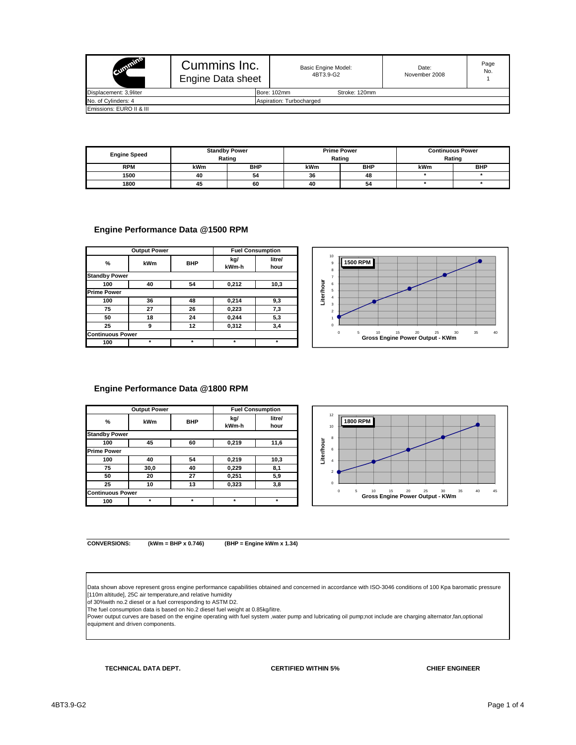| <b>Summins</b>           | Cummins Inc.<br>Engine Data sheet |                          | Basic Engine Model:<br>4BT3.9-G2 | Date:<br>November 2008 | Page<br>No. |  |  |
|--------------------------|-----------------------------------|--------------------------|----------------------------------|------------------------|-------------|--|--|
| Displacement: 3.9liter   |                                   |                          | Stroke: 120mm<br>Bore: 102mm     |                        |             |  |  |
| No. of Cylinders: 4      |                                   | Aspiration: Turbocharged |                                  |                        |             |  |  |
| Emissions: EURO II & III |                                   |                          |                                  |                        |             |  |  |

| <b>Engine Speed</b> | <b>Standby Power</b><br>Rating |            |     | <b>Prime Power</b><br>Rating | <b>Continuous Power</b><br>Rating |            |  |
|---------------------|--------------------------------|------------|-----|------------------------------|-----------------------------------|------------|--|
| <b>RPM</b>          | kWm                            | <b>BHP</b> | kWm | <b>BHP</b>                   | kWm                               | <b>BHP</b> |  |
| 1500                | 40                             | 54         | 36  | 48                           |                                   |            |  |
| 1800                | 45                             | 60         | 40  | 54                           |                                   |            |  |

#### **Engine Performance Data @1500 RPM**

|                         | <b>Output Power</b> |            | <b>Fuel Consumption</b> |                |
|-------------------------|---------------------|------------|-------------------------|----------------|
| %                       | kWm                 | <b>BHP</b> | kg/                     | litre/<br>hour |
|                         |                     |            | kWm-h                   |                |
| <b>Standby Power</b>    |                     |            |                         |                |
| 100                     | 40                  | 54         | 0,212                   | 10,3           |
| <b>Prime Power</b>      |                     |            |                         |                |
| 100                     | 36                  | 48         | 0,214                   | 9,3            |
| 75                      | 27                  | 26         | 0,223                   | 7,3            |
| 50                      | 18                  | 24         | 0,244                   | 5,3            |
| 25                      | 9                   | 12         | 0,312                   | 3,4            |
| <b>Continuous Power</b> |                     |            |                         |                |
| 100                     | $\star$             | $\star$    | $\star$                 | $\star$        |



#### **Engine Performance Data @1800 RPM**

|                         | <b>Output Power</b> |            | <b>Fuel Consumption</b> |         |  |  |
|-------------------------|---------------------|------------|-------------------------|---------|--|--|
| %                       | kWm                 | <b>BHP</b> | kg/                     | litre/  |  |  |
|                         |                     |            | kWm-h                   | hour    |  |  |
| <b>Standby Power</b>    |                     |            |                         |         |  |  |
| 100                     | 45                  | 60         | 0,219                   | 11,6    |  |  |
| <b>Prime Power</b>      |                     |            |                         |         |  |  |
| 100                     | 40                  | 54         | 0.219                   | 10,3    |  |  |
| 75                      | 30,0                | 40         | 0,229                   | 8,1     |  |  |
| 50                      | 20                  | 27         | 0,251                   | 5,9     |  |  |
| 25                      | 10                  | 13         | 0,323                   | 3,8     |  |  |
| <b>Continuous Power</b> |                     |            |                         |         |  |  |
| 100                     |                     | $\star$    | $\star$                 | $\star$ |  |  |



**CONVERSIONS: (kWm = BHP x 0.746) (BHP = Engine kWm x 1.34)**

Data shown above represent gross engine performance capabilities obtained and concerned in accordance with ISO-3046 conditions of 100 Kpa baromatic pressure<br>[110m altitude], 25C air temperature,and relative humidity<br>of 30%

The fuel consumption data is based on No.2 diesel fuel weight at 0.85kg/litre.<br>Power output curves are based on the engine operating with fuel system ,water pump and lubricating oil pump;not include are charging alternato equipment and driven components.

**TECHNICAL DATA DEPT. CERTIFIED WITHIN 5%**

**CHIEF ENGINEER**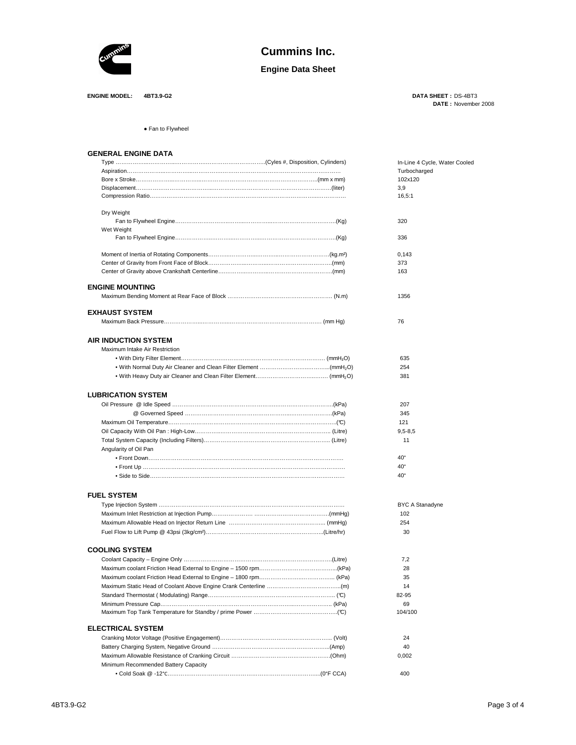

# **Cummins Inc.**

**Engine Data Sheet**

**ENGINE MODEL: 4BT3.9-G2** 

DATE: November 2008 **DATA SHEET :**

● Fan to Flywheel

#### **GENERAL ENGINE DATA**

|                                      | In-Line 4 Cycle, Water Cooled |
|--------------------------------------|-------------------------------|
|                                      | Turbocharged                  |
|                                      | 102x120                       |
|                                      | 3,9                           |
|                                      | 16,5:1                        |
| Dry Weight                           |                               |
|                                      | 320                           |
| Wet Weight                           |                               |
|                                      | 336                           |
|                                      | 0,143                         |
|                                      | 373                           |
|                                      | 163                           |
| <b>ENGINE MOUNTING</b>               |                               |
|                                      | 1356                          |
| <b>EXHAUST SYSTEM</b>                |                               |
|                                      | 76                            |
| <b>AIR INDUCTION SYSTEM</b>          |                               |
| Maximum Intake Air Restriction       |                               |
|                                      | 635                           |
|                                      | 254                           |
|                                      | 381                           |
|                                      |                               |
| <b>LUBRICATION SYSTEM</b>            |                               |
|                                      | 207                           |
|                                      | 345                           |
|                                      | 121                           |
|                                      | $9,5 - 8,5$                   |
|                                      | 11                            |
| Angularity of Oil Pan                |                               |
|                                      | 40°                           |
|                                      | $40^{\circ}$                  |
|                                      | $40^{\circ}$                  |
| <b>FUEL SYSTEM</b>                   |                               |
|                                      | BYC A Stanadyne               |
|                                      | 102                           |
|                                      | 254                           |
|                                      | 30                            |
|                                      |                               |
| <b>COOLING SYSTEM</b>                |                               |
|                                      | 7,2                           |
|                                      | 28                            |
|                                      | 35                            |
|                                      | 14                            |
|                                      | 82-95                         |
|                                      | 69<br>104/100                 |
|                                      |                               |
| <b>ELECTRICAL SYSTEM</b>             | 24                            |
|                                      |                               |
|                                      | 40                            |
|                                      | 0,002                         |
| Minimum Recommended Battery Capacity |                               |
|                                      | 400                           |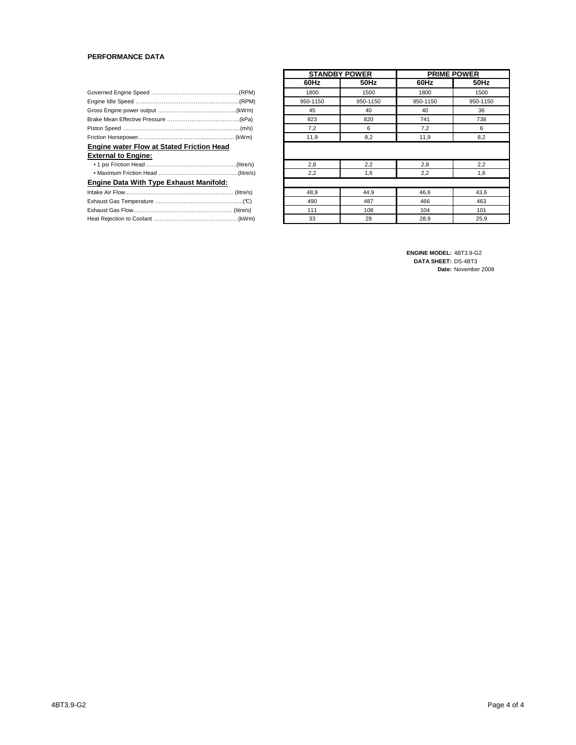#### **PERFORMANCE DATA**

| <b>Engine water Flow at Stated Friction Head</b> |  |  |  |  |  |  |  |
|--------------------------------------------------|--|--|--|--|--|--|--|
| <b>External to Engine:</b>                       |  |  |  |  |  |  |  |
|                                                  |  |  |  |  |  |  |  |
|                                                  |  |  |  |  |  |  |  |
| <b>Engine Data With Type Exhaust Manifold:</b>   |  |  |  |  |  |  |  |
|                                                  |  |  |  |  |  |  |  |
|                                                  |  |  |  |  |  |  |  |
|                                                  |  |  |  |  |  |  |  |
|                                                  |  |  |  |  |  |  |  |

|          | <b>STANDBY POWER</b> |          | <b>PRIME POWER</b> |
|----------|----------------------|----------|--------------------|
| 60Hz     | 50Hz                 | 60Hz     | 50Hz               |
| 1800     | 1500                 | 1800     | 1500               |
| 950-1150 | 950-1150             | 950-1150 | 950-1150           |
| 45       | 40                   | 40       | 36                 |
| 823      | 820                  | 741      | 738                |
| 7,2      | 6                    | 7,2      | 6                  |
| 11,9     | 8,2                  | 11,9     | 8,2                |
| 2,8      | 2,2                  | 2,8      | 2,2                |
| 2,2      | 1,6                  | 2,2      | 1,6                |
|          |                      |          |                    |
| 48,9     | 44,9                 | 46,6     | 43,6               |
| 490      | 487                  | 466      | 463                |
| 111      | 108                  | 104      | 101                |
| 33       | 29                   | 28,9     | 25,9               |

**ENGINE MODEL: 4BT3.9-G2 DATA SHEET: DS-4BT3** Date: November 2008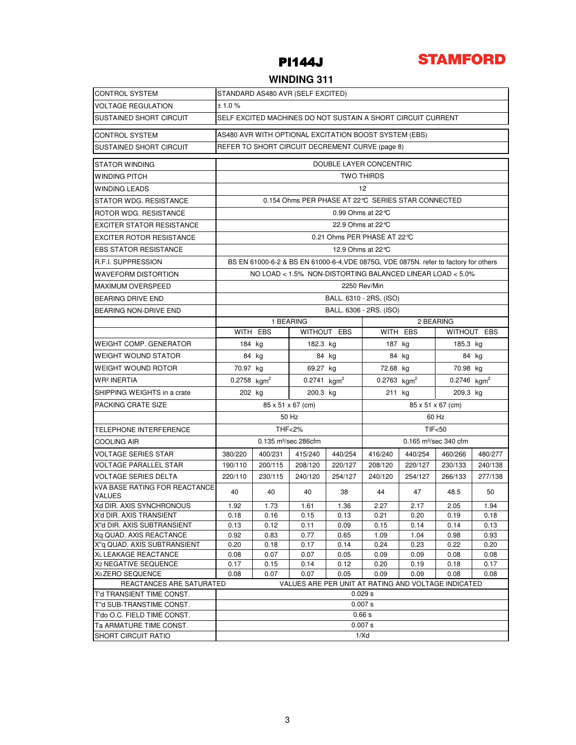



### **WINDING 311**

| <b>CONTROL SYSTEM</b>                                    | STANDARD AS480 AVR (SELF EXCITED) |                                                              |                           |                             |                                                       |                                                   |                                                                                      |              |  |  |  |
|----------------------------------------------------------|-----------------------------------|--------------------------------------------------------------|---------------------------|-----------------------------|-------------------------------------------------------|---------------------------------------------------|--------------------------------------------------------------------------------------|--------------|--|--|--|
| <b>VOLTAGE REGULATION</b>                                | ± 1.0%                            |                                                              |                           |                             |                                                       |                                                   |                                                                                      |              |  |  |  |
| <b>SUSTAINED SHORT CIRCUIT</b>                           |                                   | SELF EXCITED MACHINES DO NOT SUSTAIN A SHORT CIRCUIT CURRENT |                           |                             |                                                       |                                                   |                                                                                      |              |  |  |  |
| <b>CONTROL SYSTEM</b>                                    |                                   |                                                              |                           |                             | AS480 AVR WITH OPTIONAL EXCITATION BOOST SYSTEM (EBS) |                                                   |                                                                                      |              |  |  |  |
| SUSTAINED SHORT CIRCUIT                                  |                                   | REFER TO SHORT CIRCUIT DECREMENT CURVE (page 8)              |                           |                             |                                                       |                                                   |                                                                                      |              |  |  |  |
| <b>STATOR WINDING</b>                                    |                                   | DOUBLE LAYER CONCENTRIC                                      |                           |                             |                                                       |                                                   |                                                                                      |              |  |  |  |
| WINDING PITCH                                            |                                   |                                                              |                           |                             | <b>TWO THIRDS</b>                                     |                                                   |                                                                                      |              |  |  |  |
| <b>WINDING LEADS</b>                                     |                                   |                                                              |                           |                             | 12                                                    |                                                   |                                                                                      |              |  |  |  |
| STATOR WDG. RESISTANCE                                   |                                   |                                                              |                           |                             |                                                       | 0.154 Ohms PER PHASE AT 22℃ SERIES STAR CONNECTED |                                                                                      |              |  |  |  |
| ROTOR WDG. RESISTANCE                                    |                                   |                                                              |                           | 0.99 Ohms at $22^{\circ}$ C |                                                       |                                                   |                                                                                      |              |  |  |  |
| <b>EXCITER STATOR RESISTANCE</b>                         |                                   |                                                              |                           | 22.9 Ohms at 22 °C          |                                                       |                                                   |                                                                                      |              |  |  |  |
| <b>EXCITER ROTOR RESISTANCE</b>                          |                                   |                                                              |                           |                             | 0.21 Ohms PER PHASE AT 22 ℃                           |                                                   |                                                                                      |              |  |  |  |
| <b>EBS STATOR RESISTANCE</b>                             |                                   |                                                              |                           | 12.9 Ohms at 22 °C          |                                                       |                                                   |                                                                                      |              |  |  |  |
| R.F.I. SUPPRESSION                                       |                                   |                                                              |                           |                             |                                                       |                                                   | BS EN 61000-6-2 & BS EN 61000-6-4, VDE 0875G, VDE 0875N. refer to factory for others |              |  |  |  |
| <b>WAVEFORM DISTORTION</b>                               |                                   |                                                              |                           |                             |                                                       |                                                   | NO LOAD < 1.5% NON-DISTORTING BALANCED LINEAR LOAD < 5.0%                            |              |  |  |  |
| <b>MAXIMUM OVERSPEED</b>                                 |                                   |                                                              |                           |                             | 2250 Rev/Min                                          |                                                   |                                                                                      |              |  |  |  |
| <b>BEARING DRIVE END</b>                                 |                                   |                                                              |                           |                             | BALL. 6310 - 2RS. (ISO)                               |                                                   |                                                                                      |              |  |  |  |
| BEARING NON-DRIVE END                                    |                                   |                                                              |                           |                             | BALL. 6306 - 2RS. (ISO)                               |                                                   |                                                                                      |              |  |  |  |
|                                                          |                                   | 1 BEARING                                                    |                           |                             | 2 BEARING                                             |                                                   |                                                                                      |              |  |  |  |
|                                                          |                                   | WITH EBS                                                     |                           | WITHOUT EBS                 | WITH EBS<br>WITHOUT EBS                               |                                                   |                                                                                      |              |  |  |  |
| WEIGHT COMP. GENERATOR                                   | 184 kg                            |                                                              | 182.3 kg                  |                             | 187 kg                                                | 185.3 kg                                          |                                                                                      |              |  |  |  |
| <b>WEIGHT WOUND STATOR</b>                               |                                   | 84 kg                                                        |                           | 84 kg                       |                                                       | 84 kg                                             |                                                                                      | 84 kg        |  |  |  |
| WEIGHT WOUND ROTOR                                       | 70.97 kg                          |                                                              | 69.27 kg                  |                             | 72.68 kg                                              |                                                   | 70.98 kg                                                                             |              |  |  |  |
| WR <sup>2</sup> INERTIA                                  | $0.2758$ kgm <sup>2</sup>         |                                                              | $0.2741$ kgm <sup>2</sup> |                             | $0.2763$ kgm <sup>2</sup>                             |                                                   | $0.2746$ kgm <sup>2</sup>                                                            |              |  |  |  |
| SHIPPING WEIGHTS in a crate                              | 202 kg                            |                                                              | 200.3 kg                  |                             | 211 kg<br>209.3 kg                                    |                                                   |                                                                                      |              |  |  |  |
| PACKING CRATE SIZE                                       |                                   | 85 x 51 x 67 (cm)                                            |                           |                             | 85 x 51 x 67 (cm)                                     |                                                   |                                                                                      |              |  |  |  |
|                                                          |                                   |                                                              | 50 Hz                     |                             | 60 Hz                                                 |                                                   |                                                                                      |              |  |  |  |
| TELEPHONE INTERFERENCE                                   |                                   | <b>THF&lt;2%</b>                                             |                           |                             | TIF <sub>50</sub>                                     |                                                   |                                                                                      |              |  |  |  |
| <b>COOLING AIR</b>                                       |                                   | 0.135 m <sup>3</sup> /sec 286cfm                             |                           |                             |                                                       |                                                   | 0.165 m <sup>3</sup> /sec 340 cfm                                                    |              |  |  |  |
| <b>VOLTAGE SERIES STAR</b>                               | 380/220                           | 400/231                                                      | 415/240                   | 440/254                     | 416/240                                               | 440/254                                           | 460/266                                                                              | 480/277      |  |  |  |
| <b>VOLTAGE PARALLEL STAR</b>                             | 190/110                           | 200/115                                                      | 208/120                   | 220/127                     | 208/120                                               | 220/127                                           | 230/133                                                                              | 240/138      |  |  |  |
| <b>VOLTAGE SERIES DELTA</b>                              | 220/110                           | 230/115                                                      | 240/120                   | 254/127                     | 240/120                                               | 254/127                                           | 266/133                                                                              | 277/138      |  |  |  |
| <b>kVA BASE RATING FOR REACTANCE</b><br><b>VALUES</b>    | 40                                | 40                                                           | 40                        | 38                          | 44                                                    | 47                                                | 48.5                                                                                 | 50           |  |  |  |
| Xd DIR. AXIS SYNCHRONOUS                                 | 1.92                              | 1.73                                                         | 1.61                      | 1.36                        | 2.27                                                  | 2.17                                              | 2.05                                                                                 | 1.94         |  |  |  |
| X'd DIR. AXIS TRANSIENT                                  | 0.18                              | 0.16                                                         | 0.15                      | 0.13                        | 0.21                                                  | 0.20                                              | 0.19                                                                                 | 0.18         |  |  |  |
| X"d DIR. AXIS SUBTRANSIENT                               | 0.13                              | 0.12                                                         | 0.11                      | 0.09                        | 0.15                                                  | 0.14                                              | 0.14                                                                                 | 0.13         |  |  |  |
| Xq QUAD. AXIS REACTANCE                                  | 0.92                              | 0.83                                                         | 0.77                      | 0.65                        | 1.09                                                  | 1.04                                              | 0.98                                                                                 | 0.93         |  |  |  |
| X"g QUAD. AXIS SUBTRANSIENT                              | 0.20                              | 0.18                                                         | 0.17                      | 0.14                        | 0.24                                                  | 0.23                                              | 0.22                                                                                 | 0.20         |  |  |  |
| XL LEAKAGE REACTANCE<br>X <sub>2</sub> NEGATIVE SEQUENCE | 0.08<br>0.17                      | 0.07<br>0.15                                                 | 0.07<br>0.14              | 0.05<br>0.12                | 0.09<br>0.20                                          | 0.09<br>0.19                                      | 0.08<br>0.18                                                                         | 0.08<br>0.17 |  |  |  |
| X <sub>0</sub> ZERO SEQUENCE                             | 0.08                              | 0.07                                                         | 0.07                      | 0.05                        | 0.09                                                  | 0.09                                              | 0.08                                                                                 | 0.08         |  |  |  |
| REACTANCES ARE SATURATED                                 |                                   |                                                              |                           |                             |                                                       |                                                   | VALUES ARE PER UNIT AT RATING AND VOLTAGE INDICATED                                  |              |  |  |  |
| T'd TRANSIENT TIME CONST.                                |                                   |                                                              |                           |                             | 0.029 s                                               |                                                   |                                                                                      |              |  |  |  |
| T"d SUB-TRANSTIME CONST.                                 |                                   |                                                              |                           |                             | 0.007 s                                               |                                                   |                                                                                      |              |  |  |  |
| T'do O.C. FIELD TIME CONST.                              |                                   |                                                              |                           |                             | 0.66 s                                                |                                                   |                                                                                      |              |  |  |  |
| Ta ARMATURE TIME CONST.                                  |                                   |                                                              |                           |                             | 0.007 s                                               |                                                   |                                                                                      |              |  |  |  |
| <b>SHORT CIRCUIT RATIO</b>                               |                                   |                                                              |                           |                             | 1/Xd                                                  |                                                   |                                                                                      |              |  |  |  |